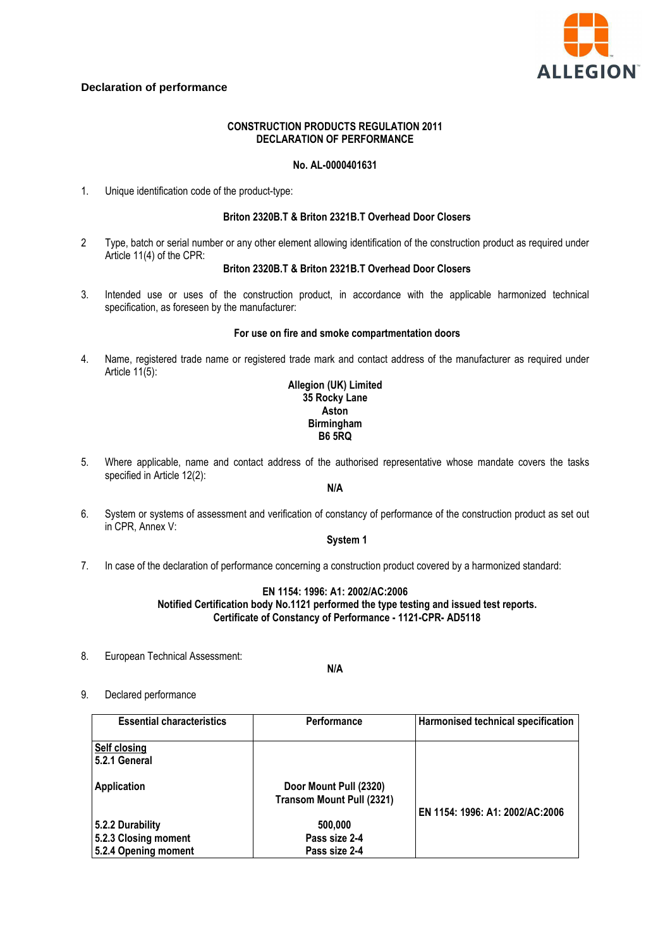

# **Declaration of performance**

## **CONSTRUCTION PRODUCTS REGULATION 2011 DECLARATION OF PERFORMANCE**

### **No. AL-0000401631**

1. Unique identification code of the product-type:

### **Briton 2320B.T & Briton 2321B.T Overhead Door Closers**

2 Type, batch or serial number or any other element allowing identification of the construction product as required under Article 11(4) of the CPR:

### **Briton 2320B.T & Briton 2321B.T Overhead Door Closers**

3. Intended use or uses of the construction product, in accordance with the applicable harmonized technical specification, as foreseen by the manufacturer:

#### **For use on fire and smoke compartmentation doors**

4. Name, registered trade name or registered trade mark and contact address of the manufacturer as required under Article 11(5):

# **Allegion (UK) Limited 35 Rocky Lane Aston Birmingham B6 5RQ**

5. Where applicable, name and contact address of the authorised representative whose mandate covers the tasks specified in Article 12(2):

### **N/A**

6. System or systems of assessment and verification of constancy of performance of the construction product as set out in CPR, Annex V:

## **System 1**

7. In case of the declaration of performance concerning a construction product covered by a harmonized standard:

## **EN 1154: 1996: A1: 2002/AC:2006 Notified Certification body No.1121 performed the type testing and issued test reports. Certificate of Constancy of Performance - 1121-CPR- AD5118**

8. European Technical Assessment:

### **N/A**

9. Declared performance

| <b>Essential characteristics</b> | <b>Performance</b>                                  | Harmonised technical specification |
|----------------------------------|-----------------------------------------------------|------------------------------------|
| Self closing<br>5.2.1 General    |                                                     |                                    |
| Application                      | Door Mount Pull (2320)<br>Transom Mount Pull (2321) | EN 1154: 1996: A1: 2002/AC:2006    |
| 5.2.2 Durability                 | 500,000                                             |                                    |
| 5.2.3 Closing moment             | Pass size 2-4                                       |                                    |
| 5.2.4 Opening moment             | Pass size 2-4                                       |                                    |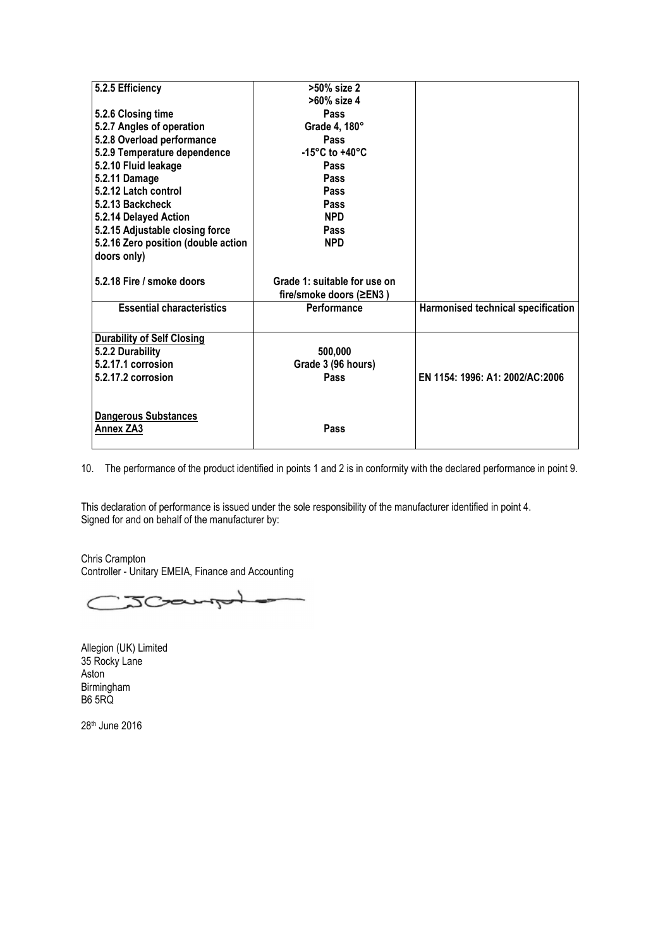| 5.2.5 Efficiency                    | >50% size 2                          |                                    |
|-------------------------------------|--------------------------------------|------------------------------------|
|                                     | >60% size 4                          |                                    |
| 5.2.6 Closing time                  | <b>Pass</b>                          |                                    |
| 5.2.7 Angles of operation           | Grade 4, 180°                        |                                    |
| 5.2.8 Overload performance          | <b>Pass</b>                          |                                    |
| 5.2.9 Temperature dependence        | -15 $^{\circ}$ C to +40 $^{\circ}$ C |                                    |
| 5.2.10 Fluid leakage                | <b>Pass</b>                          |                                    |
| 5.2.11 Damage                       | Pass                                 |                                    |
| 5.2.12 Latch control                | <b>Pass</b>                          |                                    |
| 5.2.13 Backcheck                    | <b>Pass</b>                          |                                    |
| 5.2.14 Delayed Action               | <b>NPD</b>                           |                                    |
| 5.2.15 Adjustable closing force     | Pass                                 |                                    |
| 5.2.16 Zero position (double action | <b>NPD</b>                           |                                    |
| doors only)                         |                                      |                                    |
|                                     |                                      |                                    |
| 5.2.18 Fire / smoke doors           | Grade 1: suitable for use on         |                                    |
|                                     | fire/smoke doors (≥EN3)              |                                    |
| <b>Essential characteristics</b>    | Performance                          | Harmonised technical specification |
|                                     |                                      |                                    |
| <b>Durability of Self Closing</b>   |                                      |                                    |
| 5.2.2 Durability                    | 500,000                              |                                    |
| 5.2.17.1 corrosion                  | Grade 3 (96 hours)                   |                                    |
| 5.2.17.2 corrosion                  | Pass                                 | EN 1154: 1996: A1: 2002/AC:2006    |
|                                     |                                      |                                    |
|                                     |                                      |                                    |
| <b>Dangerous Substances</b>         |                                      |                                    |
| Annex ZA3                           | Pass                                 |                                    |
|                                     |                                      |                                    |

10. The performance of the product identified in points 1 and 2 is in conformity with the declared performance in point 9.

This declaration of performance is issued under the sole responsibility of the manufacturer identified in point 4. Signed for and on behalf of the manufacturer by:

Chris Crampton Controller - Unitary EMEIA, Finance and Accounting

JCamph  $\epsilon$ 

Allegion (UK) Limited 35 Rocky Lane Aston Birmingham B6 5RQ

28th June 2016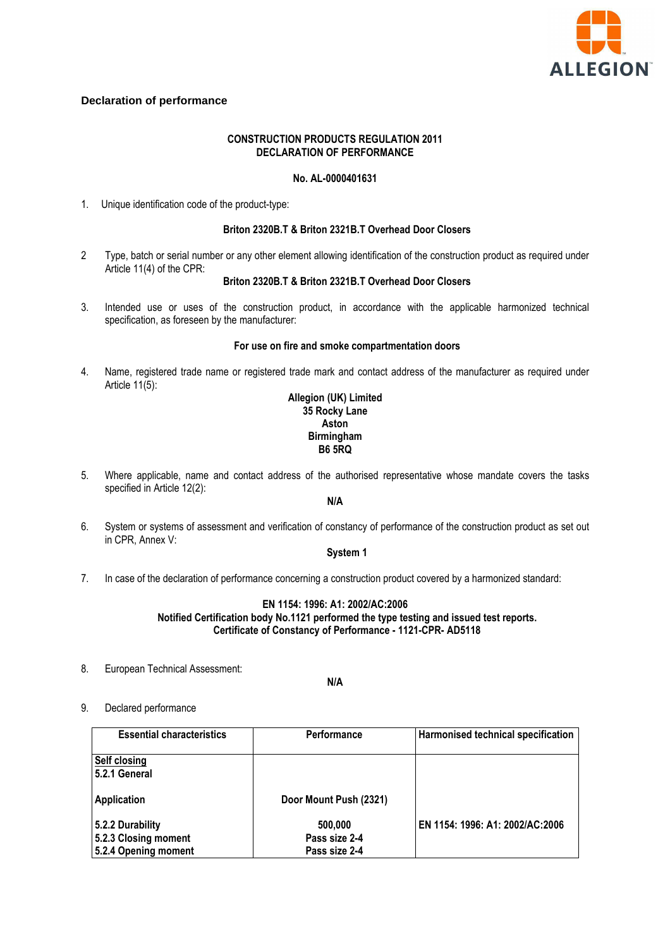

# **Declaration of performance**

### **CONSTRUCTION PRODUCTS REGULATION 2011 DECLARATION OF PERFORMANCE**

# **No. AL-0000401631**

1. Unique identification code of the product-type:

## **Briton 2320B.T & Briton 2321B.T Overhead Door Closers**

2 Type, batch or serial number or any other element allowing identification of the construction product as required under Article 11(4) of the CPR:

#### **Briton 2320B.T & Briton 2321B.T Overhead Door Closers**

3. Intended use or uses of the construction product, in accordance with the applicable harmonized technical specification, as foreseen by the manufacturer:

#### **For use on fire and smoke compartmentation doors**

4. Name, registered trade name or registered trade mark and contact address of the manufacturer as required under Article 11(5):

### **Allegion (UK) Limited 35 Rocky Lane Aston Birmingham B6 5RQ**

5. Where applicable, name and contact address of the authorised representative whose mandate covers the tasks specified in Article 12(2):

# **N/A**

6. System or systems of assessment and verification of constancy of performance of the construction product as set out in CPR, Annex V:

### **System 1**

7. In case of the declaration of performance concerning a construction product covered by a harmonized standard:

### **EN 1154: 1996: A1: 2002/AC:2006 Notified Certification body No.1121 performed the type testing and issued test reports. Certificate of Constancy of Performance - 1121-CPR- AD5118**

8. European Technical Assessment:

**N/A** 

9. Declared performance

| <b>Essential characteristics</b>         | <b>Performance</b>       | Harmonised technical specification |
|------------------------------------------|--------------------------|------------------------------------|
| <b>Self closing</b><br>52.1 General      |                          |                                    |
| <b>Application</b>                       | Door Mount Push (2321)   |                                    |
| 5.2.2 Durability<br>5.2.3 Closing moment | 500.000<br>Pass size 2-4 | EN 1154: 1996: A1: 2002/AC:2006    |
| 5.2.4 Opening moment                     | Pass size 2-4            |                                    |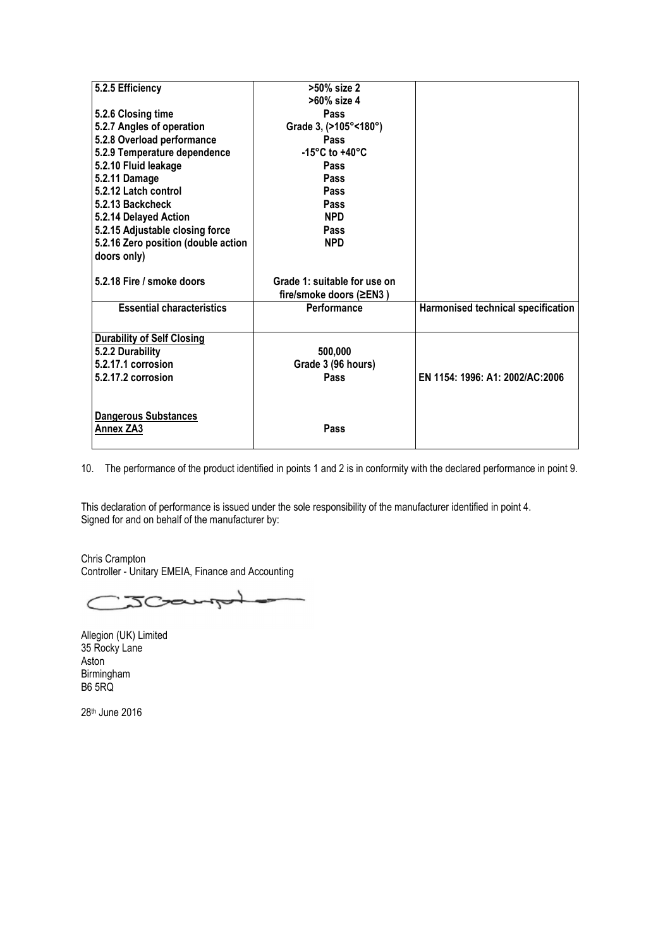| 5.2.5 Efficiency                    | >50% size 2                        |                                    |
|-------------------------------------|------------------------------------|------------------------------------|
|                                     | >60% size 4                        |                                    |
| 5.2.6 Closing time                  | <b>Pass</b>                        |                                    |
| 5.2.7 Angles of operation           | Grade 3, (>105°<180°)              |                                    |
| 5.2.8 Overload performance          | <b>Pass</b>                        |                                    |
| 5.2.9 Temperature dependence        | -15 $\degree$ C to +40 $\degree$ C |                                    |
| 5.2.10 Fluid leakage                | Pass                               |                                    |
| 5.2.11 Damage                       | Pass                               |                                    |
| 5.2.12 Latch control                | <b>Pass</b>                        |                                    |
| 5.2.13 Backcheck                    | <b>Pass</b>                        |                                    |
| 5.2.14 Delayed Action               | <b>NPD</b>                         |                                    |
| 5.2.15 Adjustable closing force     | Pass                               |                                    |
| 5.2.16 Zero position (double action | <b>NPD</b>                         |                                    |
| doors only)                         |                                    |                                    |
|                                     |                                    |                                    |
| 5.2.18 Fire / smoke doors           | Grade 1: suitable for use on       |                                    |
|                                     | fire/smoke doors (≥EN3)            |                                    |
| <b>Essential characteristics</b>    | Performance                        | Harmonised technical specification |
|                                     |                                    |                                    |
| <b>Durability of Self Closing</b>   |                                    |                                    |
| 5.2.2 Durability                    | 500,000                            |                                    |
| 5.2.17.1 corrosion                  | Grade 3 (96 hours)                 |                                    |
| 5.2.17.2 corrosion                  | Pass                               | EN 1154: 1996: A1: 2002/AC:2006    |
|                                     |                                    |                                    |
|                                     |                                    |                                    |
| <b>Dangerous Substances</b>         |                                    |                                    |
| Annex ZA3                           | Pass                               |                                    |
|                                     |                                    |                                    |

10. The performance of the product identified in points 1 and 2 is in conformity with the declared performance in point 9.

This declaration of performance is issued under the sole responsibility of the manufacturer identified in point 4. Signed for and on behalf of the manufacturer by:

Chris Crampton Controller - Unitary EMEIA, Finance and Accounting

JCample  $\epsilon$ 

Allegion (UK) Limited 35 Rocky Lane Aston Birmingham B6 5RQ

28th June 2016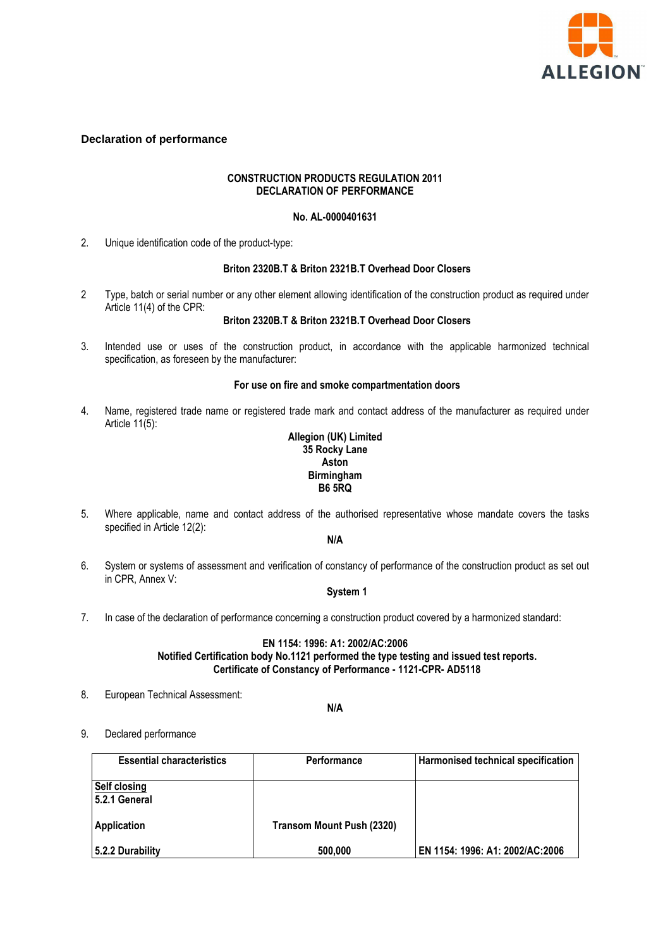

## **Declaration of performance**

## **CONSTRUCTION PRODUCTS REGULATION 2011 DECLARATION OF PERFORMANCE**

## **No. AL-0000401631**

2. Unique identification code of the product-type:

#### **Briton 2320B.T & Briton 2321B.T Overhead Door Closers**

2 Type, batch or serial number or any other element allowing identification of the construction product as required under Article 11(4) of the CPR:

# **Briton 2320B.T & Briton 2321B.T Overhead Door Closers**

3. Intended use or uses of the construction product, in accordance with the applicable harmonized technical specification, as foreseen by the manufacturer:

#### **For use on fire and smoke compartmentation doors**

4. Name, registered trade name or registered trade mark and contact address of the manufacturer as required under Article  $11(5)$ :

## **Allegion (UK) Limited 35 Rocky Lane Aston Birmingham B6 5RQ**

5. Where applicable, name and contact address of the authorised representative whose mandate covers the tasks specified in Article 12(2):

## **N/A**

6. System or systems of assessment and verification of constancy of performance of the construction product as set out in CPR, Annex V:

## **System 1**

7. In case of the declaration of performance concerning a construction product covered by a harmonized standard:

### **EN 1154: 1996: A1: 2002/AC:2006 Notified Certification body No.1121 performed the type testing and issued test reports. Certificate of Constancy of Performance - 1121-CPR- AD5118**

8. European Technical Assessment:

**N/A** 

9. Declared performance

| <b>Essential characteristics</b>    | <b>Performance</b>        | Harmonised technical specification |
|-------------------------------------|---------------------------|------------------------------------|
| <b>Self closing</b><br>52.1 General |                           |                                    |
| <b>Application</b>                  | Transom Mount Push (2320) |                                    |
| 5.2.2 Durability                    | 500,000                   | EN 1154: 1996: A1: 2002/AC:2006    |